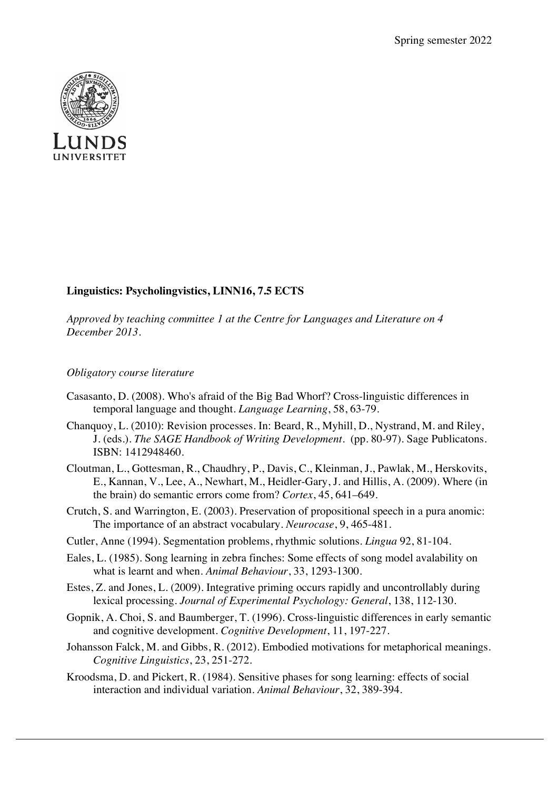

## **Linguistics: Psycholingvistics, LINN16, 7.5 ECTS**

*Approved by teaching committee 1 at the Centre for Languages and Literature on 4 December 2013.*

## *Obligatory course literature*

- Casasanto, D. (2008). Who's afraid of the Big Bad Whorf? Cross-linguistic differences in temporal language and thought. *Language Learning*, 58, 63-79.
- Chanquoy, L. (2010): Revision processes. In: Beard, R., Myhill, D., Nystrand, M. and Riley, J. (eds.). *The SAGE Handbook of Writing Development*. (pp. 80-97). Sage Publicatons. ISBN: 1412948460.
- Cloutman, L., Gottesman, R., Chaudhry, P., Davis, C., Kleinman, J., Pawlak, M., Herskovits, E., Kannan, V., Lee, A., Newhart, M., Heidler-Gary, J. and Hillis, A. (2009). Where (in the brain) do semantic errors come from? *Cortex*, 45, 641–649.
- Crutch, S. and Warrington, E. (2003). Preservation of propositional speech in a pura anomic: The importance of an abstract vocabulary. *Neurocase*, 9, 465-481.
- Cutler, Anne (1994). Segmentation problems, rhythmic solutions. *Lingua* 92, 81-104.
- Eales, L. (1985). Song learning in zebra finches: Some effects of song model avalability on what is learnt and when. *Animal Behaviour*, 33, 1293-1300.
- Estes, Z. and Jones, L. (2009). Integrative priming occurs rapidly and uncontrollably during lexical processing. *Journal of Experimental Psychology: General*, 138, 112-130.
- Gopnik, A. Choi, S. and Baumberger, T. (1996). Cross-linguistic differences in early semantic and cognitive development. *Cognitive Development*, 11, 197-227.
- Johansson Falck, M. and Gibbs, R. (2012). Embodied motivations for metaphorical meanings. *Cognitive Linguistics*, 23, 251-272.
- Kroodsma, D. and Pickert, R. (1984). Sensitive phases for song learning: effects of social interaction and individual variation. *Animal Behaviour*, 32, 389-394.